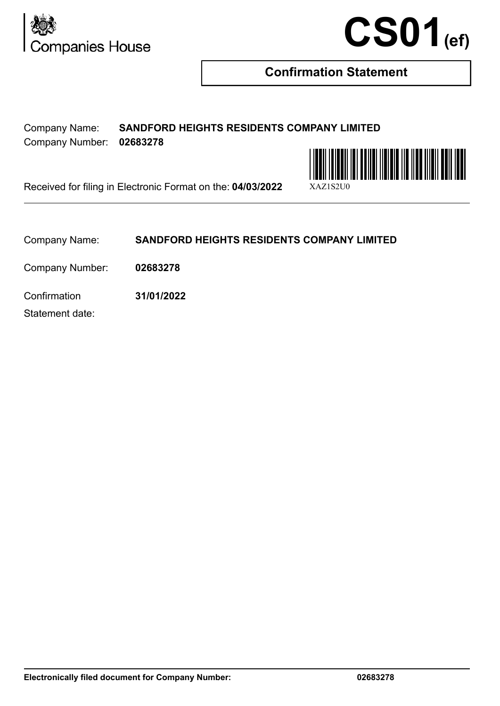



## **Confirmation Statement**

Company Name: **SANDFORD HEIGHTS RESIDENTS COMPANY LIMITED** Company Number: **02683278**



Received for filing in Electronic Format on the: 04/03/2022

Company Name: **SANDFORD HEIGHTS RESIDENTS COMPANY LIMITED**

Company Number: **02683278**

Confirmation **31/01/2022**

Statement date: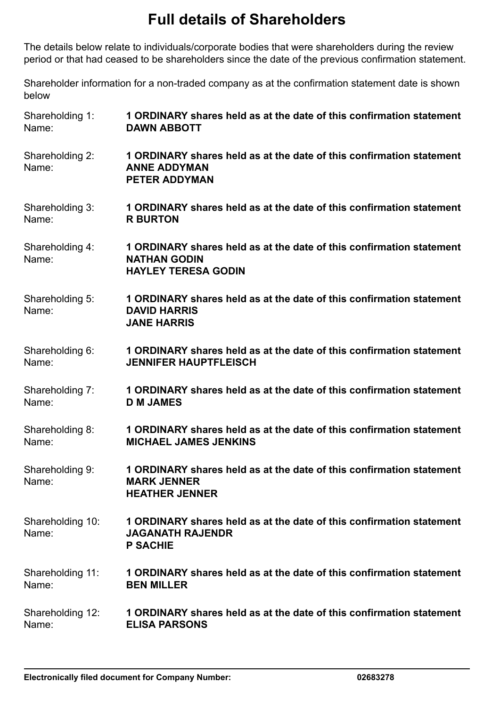## **Full details of Shareholders**

The details below relate to individuals/corporate bodies that were shareholders during the review period or that had ceased to be shareholders since the date of the previous confirmation statement.

Shareholder information for a non-traded company as at the confirmation statement date is shown below

| Shareholding 1:           | 1 ORDINARY shares held as at the date of this confirmation statement                                                      |
|---------------------------|---------------------------------------------------------------------------------------------------------------------------|
| Name:                     | <b>DAWN ABBOTT</b>                                                                                                        |
| Shareholding 2:<br>Name:  | 1 ORDINARY shares held as at the date of this confirmation statement<br><b>ANNE ADDYMAN</b><br><b>PETER ADDYMAN</b>       |
| Shareholding 3:           | 1 ORDINARY shares held as at the date of this confirmation statement                                                      |
| Name:                     | <b>R BURTON</b>                                                                                                           |
| Shareholding 4:<br>Name:  | 1 ORDINARY shares held as at the date of this confirmation statement<br><b>NATHAN GODIN</b><br><b>HAYLEY TERESA GODIN</b> |
| Shareholding 5:<br>Name:  | 1 ORDINARY shares held as at the date of this confirmation statement<br><b>DAVID HARRIS</b><br><b>JANE HARRIS</b>         |
| Shareholding 6:           | 1 ORDINARY shares held as at the date of this confirmation statement                                                      |
| Name:                     | <b>JENNIFER HAUPTFLEISCH</b>                                                                                              |
| Shareholding 7:           | 1 ORDINARY shares held as at the date of this confirmation statement                                                      |
| Name:                     | <b>D M JAMES</b>                                                                                                          |
| Shareholding 8:           | 1 ORDINARY shares held as at the date of this confirmation statement                                                      |
| Name:                     | <b>MICHAEL JAMES JENKINS</b>                                                                                              |
| Shareholding 9:<br>Name:  | 1 ORDINARY shares held as at the date of this confirmation statement<br><b>MARK JENNER</b><br><b>HEATHER JENNER</b>       |
| Shareholding 10:<br>Name: | 1 ORDINARY shares held as at the date of this confirmation statement<br><b>JAGANATH RAJENDR</b><br><b>P SACHIE</b>        |
| Shareholding 11:          | 1 ORDINARY shares held as at the date of this confirmation statement                                                      |
| Name:                     | <b>BEN MILLER</b>                                                                                                         |
| Shareholding 12:          | 1 ORDINARY shares held as at the date of this confirmation statement                                                      |
| Name:                     | <b>ELISA PARSONS</b>                                                                                                      |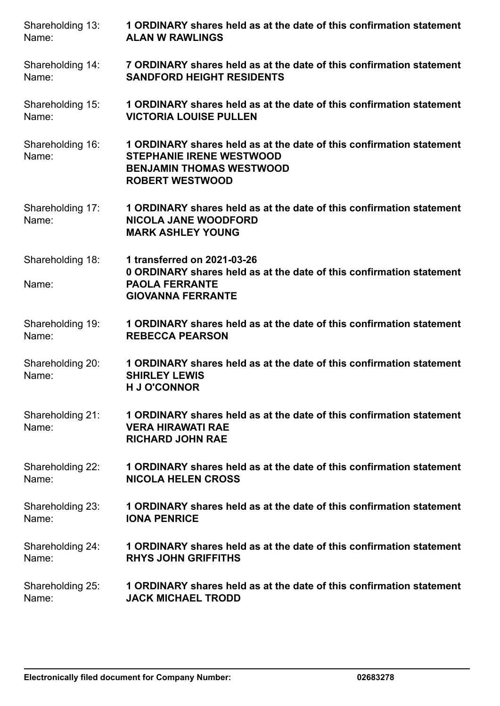| Shareholding 13:          | 1 ORDINARY shares held as at the date of this confirmation statement                                                                                                 |
|---------------------------|----------------------------------------------------------------------------------------------------------------------------------------------------------------------|
| Name:                     | <b>ALAN W RAWLINGS</b>                                                                                                                                               |
| Shareholding 14:          | 7 ORDINARY shares held as at the date of this confirmation statement                                                                                                 |
| Name:                     | <b>SANDFORD HEIGHT RESIDENTS</b>                                                                                                                                     |
| Shareholding 15:          | 1 ORDINARY shares held as at the date of this confirmation statement                                                                                                 |
| Name:                     | <b>VICTORIA LOUISE PULLEN</b>                                                                                                                                        |
| Shareholding 16:<br>Name: | 1 ORDINARY shares held as at the date of this confirmation statement<br><b>STEPHANIE IRENE WESTWOOD</b><br><b>BENJAMIN THOMAS WESTWOOD</b><br><b>ROBERT WESTWOOD</b> |
| Shareholding 17:<br>Name: | 1 ORDINARY shares held as at the date of this confirmation statement<br><b>NICOLA JANE WOODFORD</b><br><b>MARK ASHLEY YOUNG</b>                                      |
| Shareholding 18:<br>Name: | 1 transferred on 2021-03-26<br>0 ORDINARY shares held as at the date of this confirmation statement<br><b>PAOLA FERRANTE</b><br><b>GIOVANNA FERRANTE</b>             |
| Shareholding 19:          | 1 ORDINARY shares held as at the date of this confirmation statement                                                                                                 |
| Name:                     | <b>REBECCA PEARSON</b>                                                                                                                                               |
| Shareholding 20:<br>Name: | 1 ORDINARY shares held as at the date of this confirmation statement<br><b>SHIRLEY LEWIS</b><br><b>H J O'CONNOR</b>                                                  |
| Shareholding 21:<br>Name: | 1 ORDINARY shares held as at the date of this confirmation statement<br><b>VERA HIRAWATI RAE</b><br><b>RICHARD JOHN RAE</b>                                          |
| Shareholding 22:          | 1 ORDINARY shares held as at the date of this confirmation statement                                                                                                 |
| Name:                     | <b>NICOLA HELEN CROSS</b>                                                                                                                                            |
| Shareholding 23:          | 1 ORDINARY shares held as at the date of this confirmation statement                                                                                                 |
| Name:                     | <b>IONA PENRICE</b>                                                                                                                                                  |
| Shareholding 24:          | 1 ORDINARY shares held as at the date of this confirmation statement                                                                                                 |
| Name:                     | <b>RHYS JOHN GRIFFITHS</b>                                                                                                                                           |
| Shareholding 25:          | 1 ORDINARY shares held as at the date of this confirmation statement                                                                                                 |
| Name:                     | <b>JACK MICHAEL TRODD</b>                                                                                                                                            |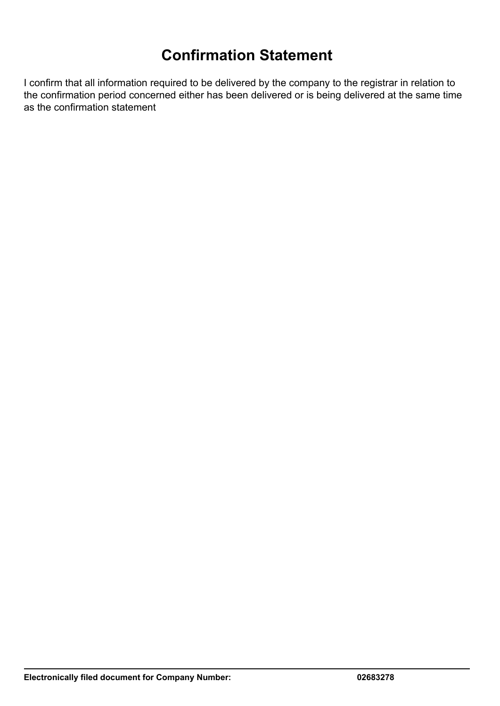## **Confirmation Statement**

I confirm that all information required to be delivered by the company to the registrar in relation to the confirmation period concerned either has been delivered or is being delivered at the same time as the confirmation statement